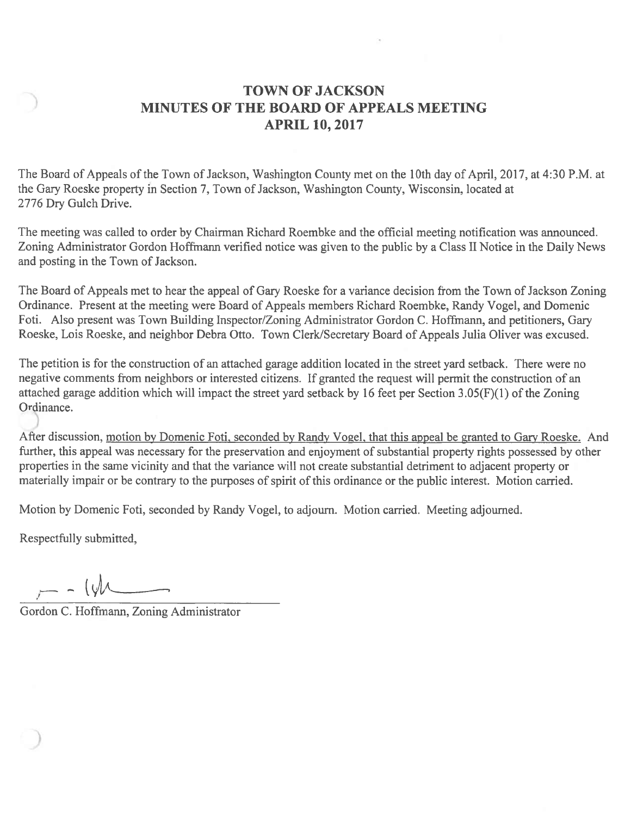## **TOWN OF JACKSON** MINUTES OF THE BOARD OF APPEALS MEETING **APRIL 10, 2017**

The Board of Appeals of the Town of Jackson, Washington County met on the 10th day of April, 2017, at 4:30 P.M. at the Gary Roeske property in Section 7, Town of Jackson, Washington County, Wisconsin, located at 2776 Dry Gulch Drive.

The meeting was called to order by Chairman Richard Roembke and the official meeting notification was announced. Zoning Administrator Gordon Hoffmann verified notice was given to the public by a Class II Notice in the Daily News and posting in the Town of Jackson.

The Board of Appeals met to hear the appeal of Gary Roeske for a variance decision from the Town of Jackson Zoning Ordinance. Present at the meeting were Board of Appeals members Richard Roembke, Randy Vogel, and Domenic Foti. Also present was Town Building Inspector/Zoning Administrator Gordon C. Hoffmann, and petitioners, Gary Roeske, Lois Roeske, and neighbor Debra Otto. Town Clerk/Secretary Board of Appeals Julia Oliver was excused.

The petition is for the construction of an attached garage addition located in the street yard setback. There were no negative comments from neighbors or interested citizens. If granted the request will permit the construction of an attached garage addition which will impact the street yard setback by 16 feet per Section 3.05(F)(1) of the Zoning Ordinance.

After discussion, motion by Domenic Foti, seconded by Randy Vogel, that this appeal be granted to Gary Roeske. And further, this appeal was necessary for the preservation and enjoyment of substantial property rights possessed by other properties in the same vicinity and that the variance will not create substantial detriment to adjacent property or materially impair or be contrary to the purposes of spirit of this ordinance or the public interest. Motion carried.

Motion by Domenic Foti, seconded by Randy Vogel, to adjourn. Motion carried. Meeting adjourned.

Respectfully submitted,

 $- - 141$ 

Gordon C. Hoffmann, Zoning Administrator